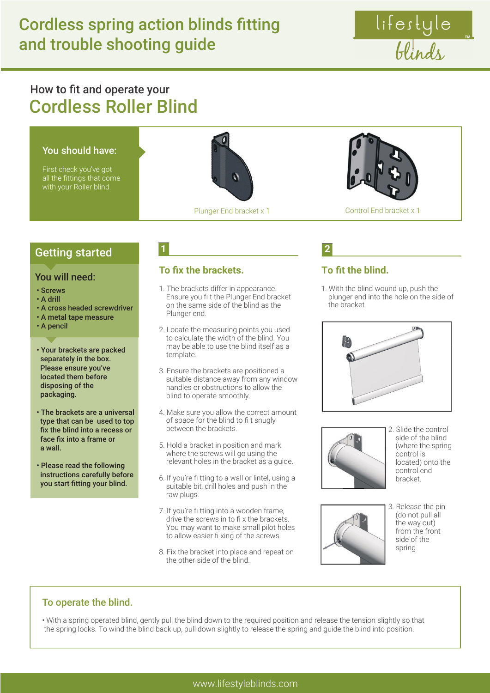lifestyle<br>blinds

# How to fit and operate your Cordless Roller Blind

# You should have: First check you've got all the fittings that come with your Roller blind. Plunger End bracket x 1 Control End bracket x 1



#### You will need:

- Screws
- A drill
- A cross headed screwdriver
- A metal tape measure
- A pencil
- Your brackets are packed separately in the box. Please ensure you've located them before disposing of the packaging.
- The brackets are a universal type that can be used to top fix the blind into a recess or face fix into a frame or a wall.
- Please read the following instructions carefully before you start fitting your blind.

## **1 2**

#### **To fix the brackets.**

- 1. The brackets differ in appearance. Ensure you fi t the Plunger End bracket on the same side of the blind as the Plunger end.
- 2. Locate the measuring points you used to calculate the width of the blind. You may be able to use the blind itself as a template.
- 3. Ensure the brackets are positioned a suitable distance away from any window handles or obstructions to allow the blind to operate smoothly.
- 4. Make sure you allow the correct amount of space for the blind to fi t snugly between the brackets.
- 5. Hold a bracket in position and mark where the screws will go using the relevant holes in the bracket as a guide.
- 6. If you're fi tting to a wall or lintel, using a suitable bit, drill holes and push in the rawlplugs.
- 7. If you're fi tting into a wooden frame, drive the screws in to fi x the brackets. You may want to make small pilot holes to allow easier fi xing of the screws.
- 8. Fix the bracket into place and repeat on the other side of the blind.

#### **To fit the blind.**

1. With the blind wound up, push the plunger end into the hole on the side of the bracket.





2. Slide the control side of the blind (where the spring control is located) onto the control end bracket.



3. Release the pin (do not pull all the way out) from the front side of the spring.

#### To operate the blind.

• With a spring operated blind, gently pull the blind down to the required position and release the tension slightly so that the spring locks. To wind the blind back up, pull down slightly to release the spring and guide the blind into position.